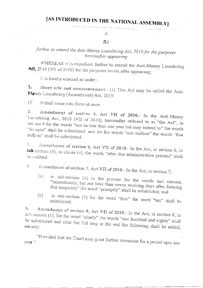$\mathcal{A}$  $\mathcal{B}$ ill

## further to amend the Anti-Money Laundering Act, 2010 for the purposes hereinafter appearing

WHEREAS it is expedient further to amend the Anti-Money Laundering Act, 2010 (VII of 2010) for the purposes herein after appearing;

It is hereby enacted as under:-

 $\perp$ Short title and commencement.- (1) This Act may be called the Anti-Money Laundering (Amendment) Act, 2019.

 $(2)$ It shall come into force at once.

 $\overline{2}$ . Amendment of section 4, Act VII of 2010.- In the Anti-Money Laundering Act, 2010 (VII of 2010), hereinafter referred to as "the Act", in section 4 for the words "not be less than one year but may extend to" the words "be upto" shall be substituted and for the words "one million" the words "five million" shall be substituted.

 $\mathbb{S}_+$ Amendment of section 6, Act VII of 2010.- In the Act, in section 6, in sub section (4), in clause (e), the words "after due administrative process" shall be emitted.

Amendment of section 7, Act VII of 2010.- In the Act, in section  $7,$ - $\mathbb{Z}_+$ 

- in sub-section (1) in the proviso for the words and comma,  $(a)$ "immediately, but not later than seven working days after forming that suspicion" the word "promptly" shall be substituted; and
- in sub-section (4) for the word "five" the word "ten" shall be  $(b)$ substituted.

Amendment of section 8, Act VII of 2010.- In the Act, in section 8, in  $\mathcal{L}_{\mathbf{L}}$ sul-section (1), for the word "ninety" the words "one hundred and eighty" shall be substituted and after the full stop at the end the following shall be added, nanely:

"Provided that the Court may grant further extension for a period upto one year.".